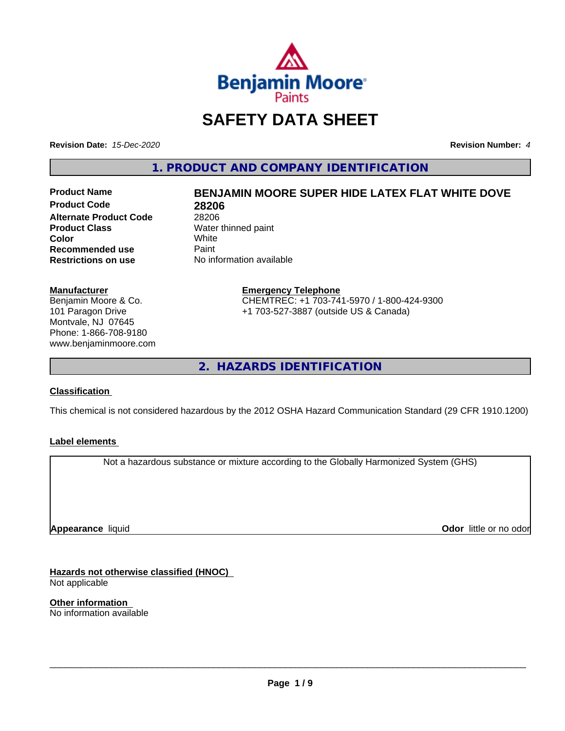

## **SAFETY DATA SHEET**

**Revision Date:** *15-Dec-2020* **Revision Number:** *4*

**1. PRODUCT AND COMPANY IDENTIFICATION**

**Product Code 28206 Alternate Product Code** 28206<br> **Product Class** Water **Color** White White **Recommended use** Paint<br> **Restrictions on use** No inf

# **Product Name BENJAMIN MOORE SUPER HIDE LATEX FLAT WHITE DOVE**

**Water thinned paint**<br>White **No information available** 

## **Manufacturer**

Benjamin Moore & Co. 101 Paragon Drive Montvale, NJ 07645 Phone: 1-866-708-9180 www.benjaminmoore.com

#### **Emergency Telephone** CHEMTREC: +1 703-741-5970 / 1-800-424-9300 +1 703-527-3887 (outside US & Canada)

**2. HAZARDS IDENTIFICATION**

## **Classification**

This chemical is not considered hazardous by the 2012 OSHA Hazard Communication Standard (29 CFR 1910.1200)

## **Label elements**

Not a hazardous substance or mixture according to the Globally Harmonized System (GHS)

**Appearance** liquid

**Odor** little or no odor

**Hazards not otherwise classified (HNOC)** Not applicable

**Other information** No information available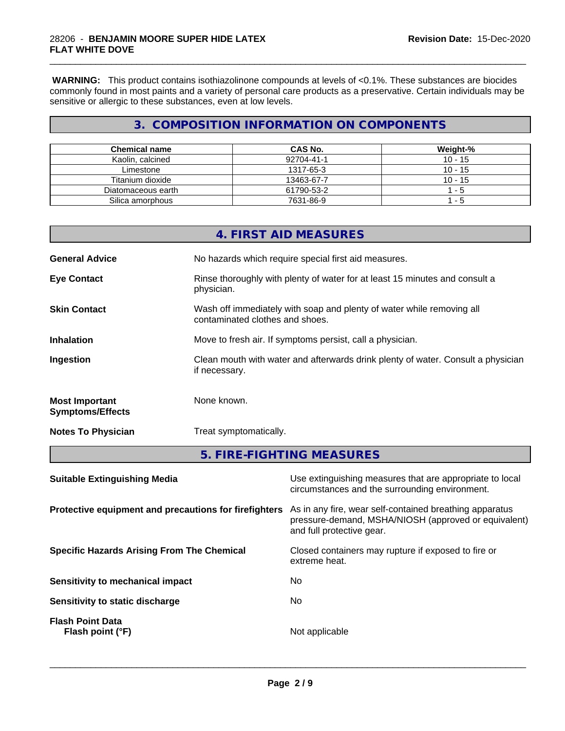**WARNING:** This product contains isothiazolinone compounds at levels of <0.1%. These substances are biocides commonly found in most paints and a variety of personal care products as a preservative. Certain individuals may be sensitive or allergic to these substances, even at low levels.

\_\_\_\_\_\_\_\_\_\_\_\_\_\_\_\_\_\_\_\_\_\_\_\_\_\_\_\_\_\_\_\_\_\_\_\_\_\_\_\_\_\_\_\_\_\_\_\_\_\_\_\_\_\_\_\_\_\_\_\_\_\_\_\_\_\_\_\_\_\_\_\_\_\_\_\_\_\_\_\_\_\_\_\_\_\_\_\_\_\_\_\_\_

## **3. COMPOSITION INFORMATION ON COMPONENTS**

| <b>Chemical name</b> | CAS No.    | Weight-%  |
|----------------------|------------|-----------|
| Kaolin, calcined     | 92704-41-1 | $10 - 15$ |
| Limestone            | 1317-65-3  | $10 - 15$ |
| Titanium dioxide     | 13463-67-7 | $10 - 15$ |
| Diatomaceous earth   | 61790-53-2 | - 5       |
| Silica amorphous     | 7631-86-9  | - 5       |

| Suitable Extinguishing Media                     | Use extinguishing measures that are appropriate to local                                                 |
|--------------------------------------------------|----------------------------------------------------------------------------------------------------------|
|                                                  | 5. FIRE-FIGHTING MEASURES                                                                                |
| <b>Notes To Physician</b>                        | Treat symptomatically.                                                                                   |
| <b>Most Important</b><br><b>Symptoms/Effects</b> | None known.                                                                                              |
| Ingestion                                        | Clean mouth with water and afterwards drink plenty of water. Consult a physician<br>if necessary.        |
| <b>Inhalation</b>                                | Move to fresh air. If symptoms persist, call a physician.                                                |
| <b>Skin Contact</b>                              | Wash off immediately with soap and plenty of water while removing all<br>contaminated clothes and shoes. |
| <b>Eye Contact</b>                               | Rinse thoroughly with plenty of water for at least 15 minutes and consult a<br>physician.                |
| <b>General Advice</b>                            | No hazards which require special first aid measures.                                                     |
|                                                  | 4. FIRST AID MEASURES                                                                                    |

| 94150000                                              | 000 0Amigaioning mododroo that are appropriate to loodi<br>circumstances and the surrounding environment.                                    |
|-------------------------------------------------------|----------------------------------------------------------------------------------------------------------------------------------------------|
| Protective equipment and precautions for firefighters | As in any fire, wear self-contained breathing apparatus<br>pressure-demand, MSHA/NIOSH (approved or equivalent)<br>and full protective gear. |
| <b>Specific Hazards Arising From The Chemical</b>     | Closed containers may rupture if exposed to fire or<br>extreme heat.                                                                         |
| Sensitivity to mechanical impact                      | No                                                                                                                                           |
| Sensitivity to static discharge                       | No                                                                                                                                           |
| <b>Flash Point Data</b><br>Flash point (°F)           | Not applicable                                                                                                                               |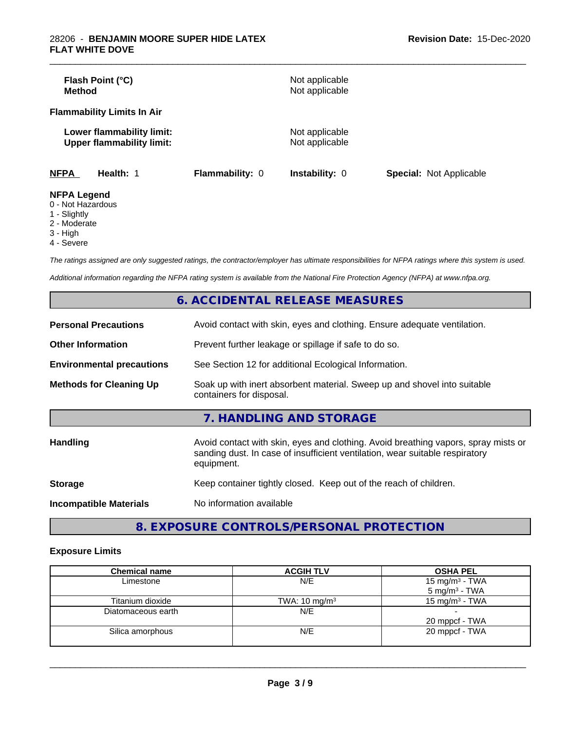| Flash Point (°C)<br><b>Method</b>                             |                 | Not applicable<br>Not applicable |                                |
|---------------------------------------------------------------|-----------------|----------------------------------|--------------------------------|
| <b>Flammability Limits In Air</b>                             |                 |                                  |                                |
| Lower flammability limit:<br><b>Upper flammability limit:</b> |                 | Not applicable<br>Not applicable |                                |
| <b>NFPA</b><br>Health: 1                                      | Flammability: 0 | <b>Instability: 0</b>            | <b>Special: Not Applicable</b> |
| <b>NFPA Legend</b><br>0 Not Horordoug                         |                 |                                  |                                |

\_\_\_\_\_\_\_\_\_\_\_\_\_\_\_\_\_\_\_\_\_\_\_\_\_\_\_\_\_\_\_\_\_\_\_\_\_\_\_\_\_\_\_\_\_\_\_\_\_\_\_\_\_\_\_\_\_\_\_\_\_\_\_\_\_\_\_\_\_\_\_\_\_\_\_\_\_\_\_\_\_\_\_\_\_\_\_\_\_\_\_\_\_

- 0 Not Hazardous
- 1 Slightly
- 2 Moderate
- 3 High
- 4 Severe

*The ratings assigned are only suggested ratings, the contractor/employer has ultimate responsibilities for NFPA ratings where this system is used.*

*Additional information regarding the NFPA rating system is available from the National Fire Protection Agency (NFPA) at www.nfpa.org.*

|                                  | 6. ACCIDENTAL RELEASE MEASURES                                                                                                                                                   |
|----------------------------------|----------------------------------------------------------------------------------------------------------------------------------------------------------------------------------|
| <b>Personal Precautions</b>      | Avoid contact with skin, eyes and clothing. Ensure adequate ventilation.                                                                                                         |
| <b>Other Information</b>         | Prevent further leakage or spillage if safe to do so.                                                                                                                            |
| <b>Environmental precautions</b> | See Section 12 for additional Ecological Information.                                                                                                                            |
| <b>Methods for Cleaning Up</b>   | Soak up with inert absorbent material. Sweep up and shovel into suitable<br>containers for disposal.                                                                             |
|                                  | 7. HANDLING AND STORAGE                                                                                                                                                          |
| <b>Handling</b>                  | Avoid contact with skin, eyes and clothing. Avoid breathing vapors, spray mists or<br>sanding dust. In case of insufficient ventilation, wear suitable respiratory<br>equipment. |
| <b>Storage</b>                   | Keep container tightly closed. Keep out of the reach of children.                                                                                                                |
| <b>Incompatible Materials</b>    | No information available                                                                                                                                                         |

**8. EXPOSURE CONTROLS/PERSONAL PROTECTION**

## **Exposure Limits**

| <b>Chemical name</b> | <b>ACGIH TLV</b>         | <b>OSHA PEL</b>            |
|----------------------|--------------------------|----------------------------|
| Limestone            | N/E                      | 15 mg/m <sup>3</sup> - TWA |
|                      |                          | $5 \text{ mg/m}^3$ - TWA   |
| Titanium dioxide     | TWA: $10 \text{ mg/m}^3$ | 15 mg/m <sup>3</sup> - TWA |
| Diatomaceous earth   | N/E                      |                            |
|                      |                          | 20 mppcf - TWA             |
| Silica amorphous     | N/E                      | 20 mppcf - TWA             |
|                      |                          |                            |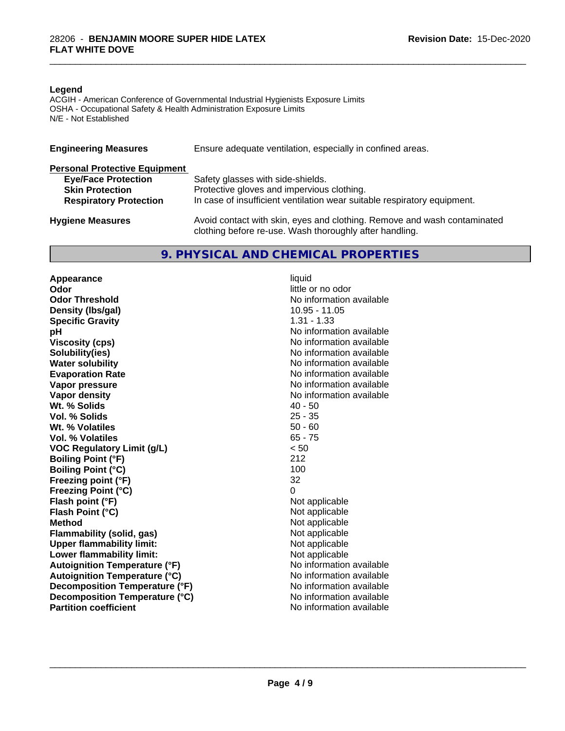#### **Legend**

ACGIH - American Conference of Governmental Industrial Hygienists Exposure Limits OSHA - Occupational Safety & Health Administration Exposure Limits N/E - Not Established

| <b>Engineering Measures</b>          | Ensure adequate ventilation, especially in confined areas.                                                                          |
|--------------------------------------|-------------------------------------------------------------------------------------------------------------------------------------|
| <b>Personal Protective Equipment</b> |                                                                                                                                     |
| <b>Eye/Face Protection</b>           | Safety glasses with side-shields.                                                                                                   |
| <b>Skin Protection</b>               | Protective gloves and impervious clothing.                                                                                          |
| <b>Respiratory Protection</b>        | In case of insufficient ventilation wear suitable respiratory equipment.                                                            |
| <b>Hygiene Measures</b>              | Avoid contact with skin, eyes and clothing. Remove and wash contaminated<br>clothing before re-use. Wash thoroughly after handling. |

## **9. PHYSICAL AND CHEMICAL PROPERTIES**

**Appearance** liquid<br> **Appearance** liquid<br> **Odor Odor Threshold No information available No information available Density (Ibs/gal)** 10.95 - 11.05<br> **Specific Gravity** 1.31 - 1.33 **Specific Gravity**<br>pH **Viscosity (cps)** No information available **Solubility(ies)** No information available **Water solubility** No information available **Evaporation Rate No information available No information available Vapor pressure** No information available **No information** available **Vapor density**<br> **We Solids**<br>
We Solid Wi, % Solids
2019 **Wt. % Solids** 40 - 50<br> **Vol. % Solids** 25 - 35 **Vol. % Solids Wt. % Volatiles** 50 - 60<br> **Vol. % Volatiles** 65 - 75 **Vol. % Volatiles VOC Regulatory Limit (g/L)** < 50 **Boiling Point (°F)** 212 **Boiling Point (°C)** 100 **Freezing point (°F)** 32 **Freezing Point (°C)** 0 **Flash point (°F)** Not applicable **Flash Point (°C)** Not applicable **Method**<br> **Flammability (solid, gas)**<br> **Commability (solid, gas)**<br> **Not** applicable **Flammability** (solid, gas) **Upper flammability limit:**<br> **Lower flammability limit:** Not applicable Not applicable **Lower flammability limit:**<br> **Autoignition Temperature (°F)** Not applicable available and the Mustafable and Mustafable and Mustafable and Mu **Autoignition Temperature (°F) Autoignition Temperature (°C)** No information available **Decomposition Temperature (°F)** No information available **Decomposition Temperature (°C)** No information available **Partition coefficient** and the settlement of the settlement of the No information available

**Odor** little or no odor **No information available** 

 $\overline{\phantom{a}}$  ,  $\overline{\phantom{a}}$  ,  $\overline{\phantom{a}}$  ,  $\overline{\phantom{a}}$  ,  $\overline{\phantom{a}}$  ,  $\overline{\phantom{a}}$  ,  $\overline{\phantom{a}}$  ,  $\overline{\phantom{a}}$  ,  $\overline{\phantom{a}}$  ,  $\overline{\phantom{a}}$  ,  $\overline{\phantom{a}}$  ,  $\overline{\phantom{a}}$  ,  $\overline{\phantom{a}}$  ,  $\overline{\phantom{a}}$  ,  $\overline{\phantom{a}}$  ,  $\overline{\phantom{a}}$ 

\_\_\_\_\_\_\_\_\_\_\_\_\_\_\_\_\_\_\_\_\_\_\_\_\_\_\_\_\_\_\_\_\_\_\_\_\_\_\_\_\_\_\_\_\_\_\_\_\_\_\_\_\_\_\_\_\_\_\_\_\_\_\_\_\_\_\_\_\_\_\_\_\_\_\_\_\_\_\_\_\_\_\_\_\_\_\_\_\_\_\_\_\_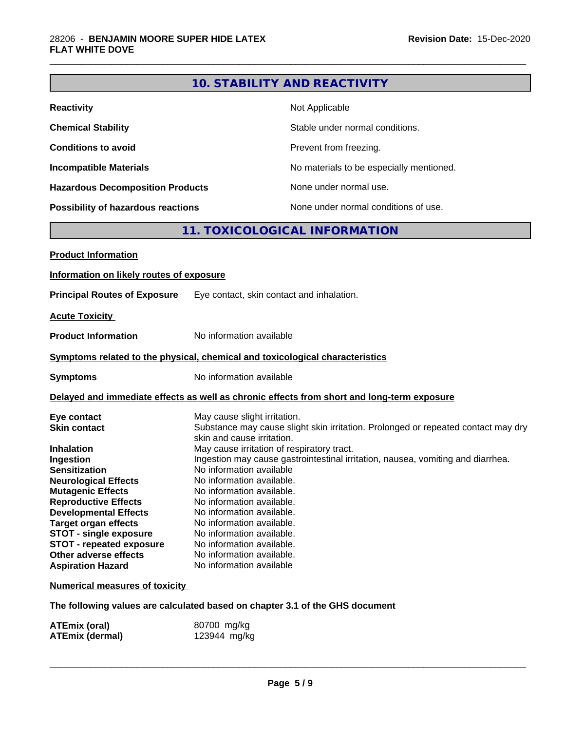## **10. STABILITY AND REACTIVITY**

\_\_\_\_\_\_\_\_\_\_\_\_\_\_\_\_\_\_\_\_\_\_\_\_\_\_\_\_\_\_\_\_\_\_\_\_\_\_\_\_\_\_\_\_\_\_\_\_\_\_\_\_\_\_\_\_\_\_\_\_\_\_\_\_\_\_\_\_\_\_\_\_\_\_\_\_\_\_\_\_\_\_\_\_\_\_\_\_\_\_\_\_\_

| <b>Reactivity</b>                       | Not Applicable                           |
|-----------------------------------------|------------------------------------------|
| <b>Chemical Stability</b>               | Stable under normal conditions.          |
| <b>Conditions to avoid</b>              | Prevent from freezing.                   |
| <b>Incompatible Materials</b>           | No materials to be especially mentioned. |
| <b>Hazardous Decomposition Products</b> | None under normal use.                   |
| Possibility of hazardous reactions      | None under normal conditions of use.     |

## **11. TOXICOLOGICAL INFORMATION**

| <b>Product Information</b>               |                                                                                                                 |
|------------------------------------------|-----------------------------------------------------------------------------------------------------------------|
| Information on likely routes of exposure |                                                                                                                 |
| <b>Principal Routes of Exposure</b>      | Eye contact, skin contact and inhalation.                                                                       |
| <b>Acute Toxicity</b>                    |                                                                                                                 |
| <b>Product Information</b>               | No information available                                                                                        |
|                                          | Symptoms related to the physical, chemical and toxicological characteristics                                    |
| <b>Symptoms</b>                          | No information available                                                                                        |
|                                          | Delayed and immediate effects as well as chronic effects from short and long-term exposure                      |
| Eye contact                              | May cause slight irritation.                                                                                    |
| <b>Skin contact</b>                      | Substance may cause slight skin irritation. Prolonged or repeated contact may dry<br>skin and cause irritation. |
| <b>Inhalation</b>                        | May cause irritation of respiratory tract.                                                                      |
| Ingestion                                | Ingestion may cause gastrointestinal irritation, nausea, vomiting and diarrhea.                                 |
| <b>Sensitization</b>                     | No information available                                                                                        |
| <b>Neurological Effects</b>              | No information available.                                                                                       |
| <b>Mutagenic Effects</b>                 | No information available.                                                                                       |
| <b>Reproductive Effects</b>              | No information available.                                                                                       |
| <b>Developmental Effects</b>             | No information available.                                                                                       |
| <b>Target organ effects</b>              | No information available.                                                                                       |
| <b>STOT - single exposure</b>            | No information available.                                                                                       |
| <b>STOT - repeated exposure</b>          | No information available.                                                                                       |
| Other adverse effects                    | No information available.                                                                                       |
| <b>Aspiration Hazard</b>                 | No information available                                                                                        |
| <b>Numerical measures of toxicity</b>    |                                                                                                                 |

**The following values are calculated based on chapter 3.1 of the GHS document**

| ATEmix (oral)          | 80700 mg/kg  |
|------------------------|--------------|
| <b>ATEmix (dermal)</b> | 123944 mg/kg |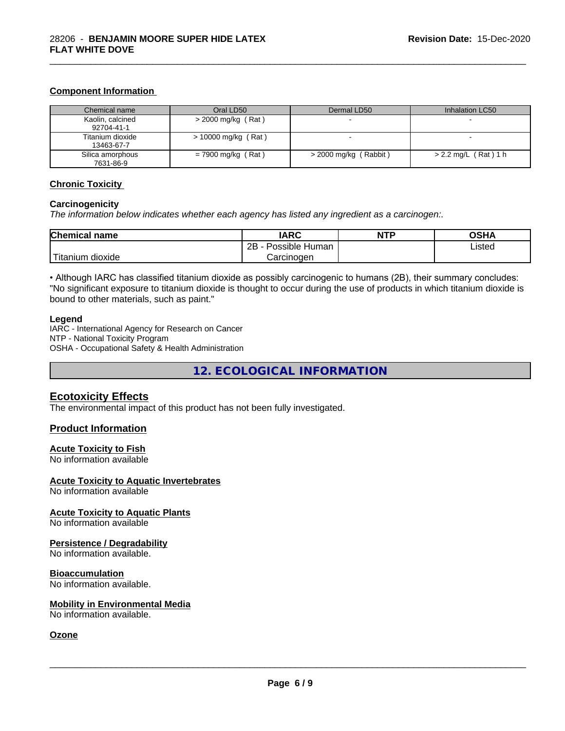## **Component Information**

| Chemical name                  | Oral LD50             | Dermal LD50             | Inhalation LC50        |
|--------------------------------|-----------------------|-------------------------|------------------------|
| Kaolin, calcined<br>92704-41-1 | $>$ 2000 mg/kg (Rat)  |                         |                        |
| Titanium dioxide<br>13463-67-7 | $> 10000$ mg/kg (Rat) |                         |                        |
| Silica amorphous<br>7631-86-9  | $= 7900$ mg/kg (Rat)  | $>$ 2000 mg/kg (Rabbit) | $> 2.2$ mg/L (Rat) 1 h |

\_\_\_\_\_\_\_\_\_\_\_\_\_\_\_\_\_\_\_\_\_\_\_\_\_\_\_\_\_\_\_\_\_\_\_\_\_\_\_\_\_\_\_\_\_\_\_\_\_\_\_\_\_\_\_\_\_\_\_\_\_\_\_\_\_\_\_\_\_\_\_\_\_\_\_\_\_\_\_\_\_\_\_\_\_\_\_\_\_\_\_\_\_

## **Chronic Toxicity**

#### **Carcinogenicity**

*The information below indicateswhether each agency has listed any ingredient as a carcinogen:.*

| <b>Chemical name</b>         | <b>IARC</b>                    | <b>NTP</b> | <b>OCUA</b><br>שטש |
|------------------------------|--------------------------------|------------|--------------------|
|                              | .<br>2B<br>Possible<br>⊧ Human |            | Listed<br>.        |
| نت ا<br>dioxide<br>l itanium | Carcinogen                     |            |                    |

• Although IARC has classified titanium dioxide as possibly carcinogenic to humans (2B), their summary concludes: "No significant exposure to titanium dioxide is thought to occur during the use of products in which titanium dioxide is bound to other materials, such as paint."

#### **Legend**

IARC - International Agency for Research on Cancer NTP - National Toxicity Program OSHA - Occupational Safety & Health Administration

**12. ECOLOGICAL INFORMATION**

#### **Ecotoxicity Effects**

The environmental impact of this product has not been fully investigated.

#### **Product Information**

#### **Acute Toxicity to Fish**

No information available

#### **Acute Toxicity to Aquatic Invertebrates**

No information available

#### **Acute Toxicity to Aquatic Plants**

No information available

#### **Persistence / Degradability**

No information available.

#### **Bioaccumulation**

No information available.

#### **Mobility in Environmental Media**

No information available.

## **Ozone**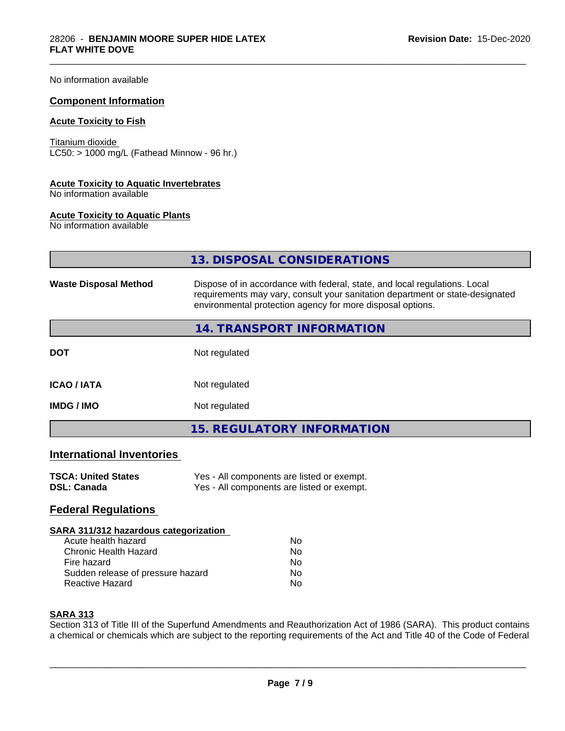No information available

#### **Component Information**

#### **Acute Toxicity to Fish**

Titanium dioxide  $\overline{\text{LC50:}}$  > 1000 mg/L (Fathead Minnow - 96 hr.)

#### **Acute Toxicity to Aquatic Invertebrates**

No information available

#### **Acute Toxicity to Aquatic Plants**

No information available

|                                  | 13. DISPOSAL CONSIDERATIONS                                                                                                                                                                                               |  |
|----------------------------------|---------------------------------------------------------------------------------------------------------------------------------------------------------------------------------------------------------------------------|--|
| <b>Waste Disposal Method</b>     | Dispose of in accordance with federal, state, and local regulations. Local<br>requirements may vary, consult your sanitation department or state-designated<br>environmental protection agency for more disposal options. |  |
|                                  | 14. TRANSPORT INFORMATION                                                                                                                                                                                                 |  |
| <b>DOT</b>                       | Not regulated                                                                                                                                                                                                             |  |
| <b>ICAO/IATA</b>                 | Not regulated                                                                                                                                                                                                             |  |
| <b>IMDG / IMO</b>                | Not regulated                                                                                                                                                                                                             |  |
|                                  | <b>15. REGULATORY INFORMATION</b>                                                                                                                                                                                         |  |
| <b>International Inventories</b> |                                                                                                                                                                                                                           |  |
| <b>TSCA: United States</b>       | Yes - All components are listed or exempt.                                                                                                                                                                                |  |

\_\_\_\_\_\_\_\_\_\_\_\_\_\_\_\_\_\_\_\_\_\_\_\_\_\_\_\_\_\_\_\_\_\_\_\_\_\_\_\_\_\_\_\_\_\_\_\_\_\_\_\_\_\_\_\_\_\_\_\_\_\_\_\_\_\_\_\_\_\_\_\_\_\_\_\_\_\_\_\_\_\_\_\_\_\_\_\_\_\_\_\_\_

| TOUA. UNIIGU OlalGS | <b>163</b> - All components are ilsted or exempt. |
|---------------------|---------------------------------------------------|
| <b>DSL: Canada</b>  | Yes - All components are listed or exempt.        |

## **Federal Regulations**

#### **SARA 311/312 hazardous categorization**

| Acute health hazard               | N٥ |
|-----------------------------------|----|
| Chronic Health Hazard             | Nο |
| Fire hazard                       | N٥ |
| Sudden release of pressure hazard | Nο |
| Reactive Hazard                   | Nο |

## **SARA 313**

Section 313 of Title III of the Superfund Amendments and Reauthorization Act of 1986 (SARA). This product contains a chemical or chemicals which are subject to the reporting requirements of the Act and Title 40 of the Code of Federal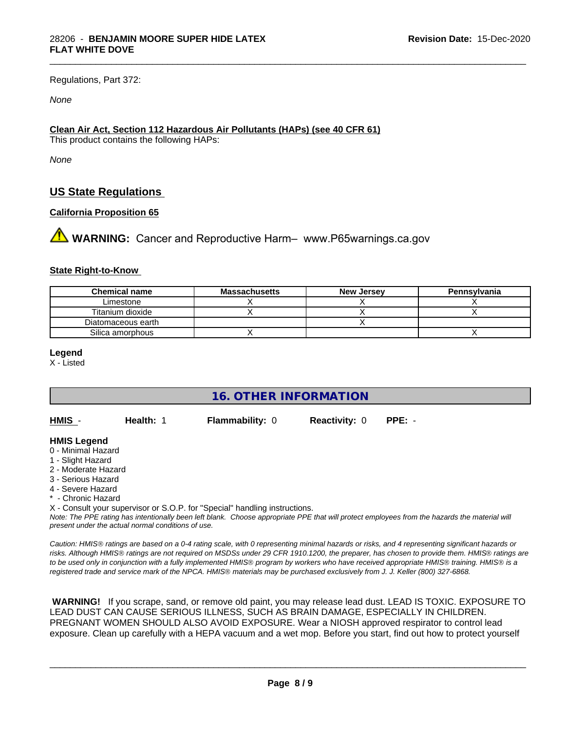Regulations, Part 372:

*None*

## **Clean Air Act,Section 112 Hazardous Air Pollutants (HAPs) (see 40 CFR 61)**

This product contains the following HAPs:

*None*

## **US State Regulations**

## **California Proposition 65**

**AVIMARNING:** Cancer and Reproductive Harm– www.P65warnings.ca.gov

#### **State Right-to-Know**

| <b>Chemical name</b> | Massachusetts | <b>New Jersey</b> | Pennsylvania |
|----------------------|---------------|-------------------|--------------|
| Limestone            |               |                   |              |
| Titanium dioxide     |               |                   |              |
| Diatomaceous earth   |               |                   |              |
| Silica amorphous     |               |                   |              |

\_\_\_\_\_\_\_\_\_\_\_\_\_\_\_\_\_\_\_\_\_\_\_\_\_\_\_\_\_\_\_\_\_\_\_\_\_\_\_\_\_\_\_\_\_\_\_\_\_\_\_\_\_\_\_\_\_\_\_\_\_\_\_\_\_\_\_\_\_\_\_\_\_\_\_\_\_\_\_\_\_\_\_\_\_\_\_\_\_\_\_\_\_

**Legend**

X - Listed

**16. OTHER INFORMATION**

| HMIS - | Health: 1 | Flammability: 0 | <b>Reactivity: 0 PPE: -</b> |  |
|--------|-----------|-----------------|-----------------------------|--|
|        |           |                 |                             |  |

#### **HMIS Legend**

- 0 Minimal Hazard
- 1 Slight Hazard
- 2 Moderate Hazard
- 3 Serious Hazard
- 4 Severe Hazard
- \* Chronic Hazard

X - Consult your supervisor or S.O.P. for "Special" handling instructions.

*Note: The PPE rating has intentionally been left blank. Choose appropriate PPE that will protect employees from the hazards the material will present under the actual normal conditions of use.*

*Caution: HMISÒ ratings are based on a 0-4 rating scale, with 0 representing minimal hazards or risks, and 4 representing significant hazards or risks. Although HMISÒ ratings are not required on MSDSs under 29 CFR 1910.1200, the preparer, has chosen to provide them. HMISÒ ratings are to be used only in conjunction with a fully implemented HMISÒ program by workers who have received appropriate HMISÒ training. HMISÒ is a registered trade and service mark of the NPCA. HMISÒ materials may be purchased exclusively from J. J. Keller (800) 327-6868.*

 **WARNING!** If you scrape, sand, or remove old paint, you may release lead dust. LEAD IS TOXIC. EXPOSURE TO LEAD DUST CAN CAUSE SERIOUS ILLNESS, SUCH AS BRAIN DAMAGE, ESPECIALLY IN CHILDREN. PREGNANT WOMEN SHOULD ALSO AVOID EXPOSURE.Wear a NIOSH approved respirator to control lead exposure. Clean up carefully with a HEPA vacuum and a wet mop. Before you start, find out how to protect yourself